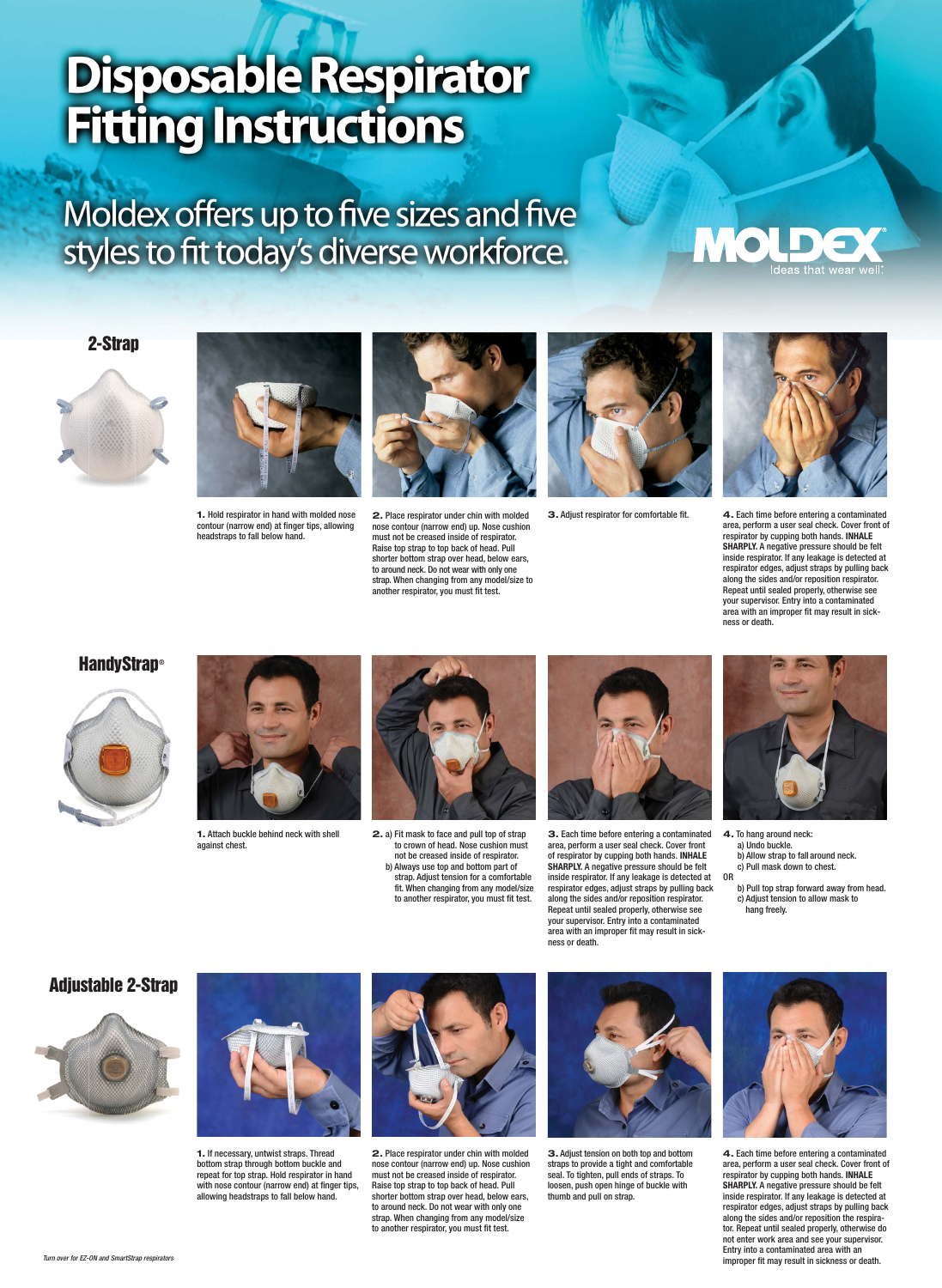## Disposable Respirator

Moldex offers up to five sizes and five styles to fit today's diverse workforce.



**1.** Hold respirator in hand with molded nose contour (narrow end) at finger tips, allowing headstraps to fall below hand.

**2.** Place respirator under chin with molded nose contour (narrow end) up. Nose cushion must not be creased inside of respirator. Raise top strap to top back of head. Pull shorter bottom strap over head, below ears, to around neck. Do not wear with only one strap. When changing from any model/size to another respirator, you must fit test.





**3.** Adjust respirator for comfortable fit. **4.** Each time before entering a contaminated area, perform a user seal check. Cover front of respirator by cupping both hands. **INHALE SHARPLY.** A negative pressure should be felt inside respirator. If any leakage is detected at respirator edges, adjust straps by pulling back along the sides and/or reposition respirator. Repeat until sealed properly, otherwise see your supervisor. Entry into a contaminated area with an improper fit may result in sickness or death.



**1.** Attach buckle behind neck with shell against chest.



**2.** a) Fit mask to face and pull top of strap to crown of head. Nose cushion must not be creased inside of respirator. b) Always use top and bottom part of strap. Adjust tension for a comfortable fit. When changing from any model/size to another respirator, you must fit test.

**3.** Each time before entering a contaminated area, perform a user seal check. Cover front of respirator by cupping both hands. **INHALE SHARPLY.** A negative pressure should be felt inside respirator. If any leakage is detected at OR respirator edges, adjust straps by pulling back along the sides and/or reposition respirator. Repeat until sealed properly, otherwise see your supervisor. Entry into a contaminated area with an improper fit may result in sickness or death.



- **4.** To hang around neck: a) Undo buckle. b) Allow strap to fall around neck. c) Pull mask down to chest.
	- b) Pull top strap forward away from head. c) Adjust tension to allow mask to hang freely.

**2-Strap**





### **Adjustable 2-Strap**





**1.** If necessary, untwist straps. Thread bottom strap through bottom buckle and repeat for top strap. Hold respirator in hand with nose contour (narrow end) at finger tips, allowing headstraps to fall below hand.

**2.** Place respirator under chin with molded nose contour (narrow end) up. Nose cushion must not be creased inside of respirator. Raise top strap to top back of head. Pull shorter bottom strap over head, below ears, to around neck. Do not wear with only one strap. When changing from any model/size to another respirator, you must fit test.



## **HandyStrap** ®



**3.** Adjust tension on both top and bottom straps to provide a tight and comfortable seal. To tighten, pull ends of straps. To loosen, push open hinge of buckle with thumb and pull on strap.



**4.** Each time before entering a contaminated area, perform a user seal check. Cover front of respirator by cupping both hands. **INHALE SHARPLY.** A negative pressure should be felt inside respirator. If any leakage is detected at respirator edges, adjust straps by pulling back along the sides and/or reposition the respirator. Repeat until sealed properly, otherwise do not enter work area and see your supervisor. Entry into a contaminated area with an improper fit may result in sickness or death.